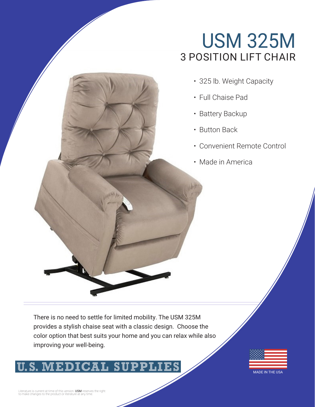## USM 325M 3 POSITION LIFT CHAIR

- 325 lb. Weight Capacity
- Full Chaise Pad
- Battery Backup
- Button Back
- Convenient Remote Control
- Made in America

There is no need to settle for limited mobility. The USM 325M provides a stylish chaise seat with a classic design. Choose the color option that best suits your home and you can relax while also improving your well-being.



MADE IN THE USA

Literature is current at time of this version. **USM** reserves the right<br>to make changes to the product or literature at any time.

**S. MEDICAL S.**